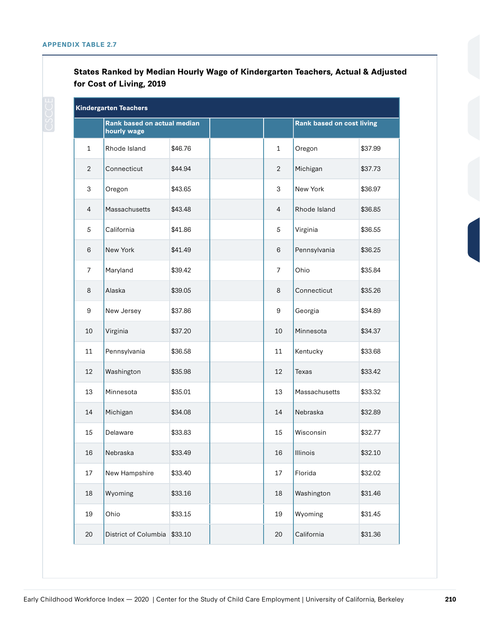**States Ranked by Median Hourly Wage of Kindergarten Teachers, Actual & Adjusted for Cost of Living, 2019**

| Kindergarten Teachers |                                            |         |  |                |                                  |         |  |
|-----------------------|--------------------------------------------|---------|--|----------------|----------------------------------|---------|--|
|                       | Rank based on actual median<br>hourly wage |         |  |                | <b>Rank based on cost living</b> |         |  |
| $\mathbf{1}$          | Rhode Island                               | \$46.76 |  | $\mathbf{1}$   | Oregon                           | \$37.99 |  |
| $\overline{2}$        | Connecticut                                | \$44.94 |  | $\overline{2}$ | Michigan                         | \$37.73 |  |
| 3                     | Oregon                                     | \$43.65 |  | 3              | New York                         | \$36.97 |  |
| $\overline{4}$        | Massachusetts                              | \$43.48 |  | $\overline{4}$ | Rhode Island                     | \$36.85 |  |
| 5                     | California                                 | \$41.86 |  | $\sqrt{5}$     | Virginia                         | \$36.55 |  |
| 6                     | New York                                   | \$41.49 |  | 6              | Pennsylvania                     | \$36.25 |  |
| $\overline{7}$        | Maryland                                   | \$39.42 |  | $\overline{7}$ | Ohio                             | \$35.84 |  |
| 8                     | Alaska                                     | \$39.05 |  | 8              | Connecticut                      | \$35.26 |  |
| 9                     | New Jersey                                 | \$37.86 |  | 9              | Georgia                          | \$34.89 |  |
| 10                    | Virginia                                   | \$37.20 |  | 10             | Minnesota                        | \$34.37 |  |
| 11                    | Pennsylvania                               | \$36.58 |  | 11             | Kentucky                         | \$33.68 |  |
| 12                    | Washington                                 | \$35.98 |  | 12             | <b>Texas</b>                     | \$33.42 |  |
| 13                    | Minnesota                                  | \$35.01 |  | 13             | Massachusetts                    | \$33.32 |  |
| 14                    | Michigan                                   | \$34.08 |  | 14             | Nebraska                         | \$32.89 |  |
| 15                    | Delaware                                   | \$33.83 |  | 15             | Wisconsin                        | \$32.77 |  |
| 16                    | Nebraska                                   | \$33.49 |  | 16             | <b>Illinois</b>                  | \$32.10 |  |
| 17                    | New Hampshire                              | \$33.40 |  | 17             | Florida                          | \$32.02 |  |
| 18                    | Wyoming                                    | \$33.16 |  | 18             | Washington                       | \$31.46 |  |
| 19                    | Ohio                                       | \$33.15 |  | 19             | Wyoming                          | \$31.45 |  |
| 20                    | District of Columbia \$33.10               |         |  | 20             | California                       | \$31.36 |  |
|                       |                                            |         |  |                |                                  |         |  |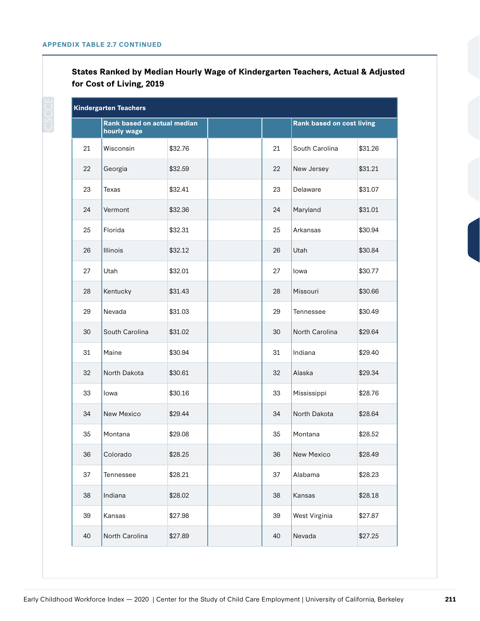**States Ranked by Median Hourly Wage of Kindergarten Teachers, Actual & Adjusted for Cost of Living, 2019**

|    | <b>Kindergarten Teachers</b>               |         |    |                                  |         |
|----|--------------------------------------------|---------|----|----------------------------------|---------|
|    | Rank based on actual median<br>hourly wage |         |    | <b>Rank based on cost living</b> |         |
| 21 | Wisconsin                                  | \$32.76 | 21 | South Carolina                   | \$31.26 |
| 22 | Georgia                                    | \$32.59 | 22 | New Jersey                       | \$31.21 |
| 23 | Texas                                      | \$32.41 | 23 | Delaware                         | \$31.07 |
| 24 | Vermont                                    | \$32.36 | 24 | Maryland                         | \$31.01 |
| 25 | Florida                                    | \$32.31 | 25 | Arkansas                         | \$30.94 |
| 26 | Illinois                                   | \$32.12 | 26 | Utah                             | \$30.84 |
| 27 | Utah                                       | \$32.01 | 27 | lowa                             | \$30.77 |
| 28 | Kentucky                                   | \$31.43 | 28 | Missouri                         | \$30.66 |
| 29 | Nevada                                     | \$31.03 | 29 | Tennessee                        | \$30.49 |
| 30 | South Carolina                             | \$31.02 | 30 | North Carolina                   | \$29.64 |
| 31 | Maine                                      | \$30.94 | 31 | Indiana                          | \$29.40 |
| 32 | North Dakota                               | \$30.61 | 32 | Alaska                           | \$29.34 |
| 33 | Iowa                                       | \$30.16 | 33 | Mississippi                      | \$28.76 |
| 34 | New Mexico                                 | \$29.44 | 34 | North Dakota                     | \$28.64 |
| 35 | Montana                                    | \$29.08 | 35 | Montana                          | \$28.52 |
| 36 | Colorado                                   | \$28.25 | 36 | New Mexico                       | \$28.49 |
| 37 | Tennessee                                  | \$28.21 | 37 | Alabama                          | \$28.23 |
| 38 | Indiana                                    | \$28.02 | 38 | Kansas                           | \$28.18 |
| 39 | Kansas                                     | \$27.98 | 39 | West Virginia                    | \$27.87 |
| 40 | North Carolina                             | \$27.89 | 40 | Nevada                           | \$27.25 |